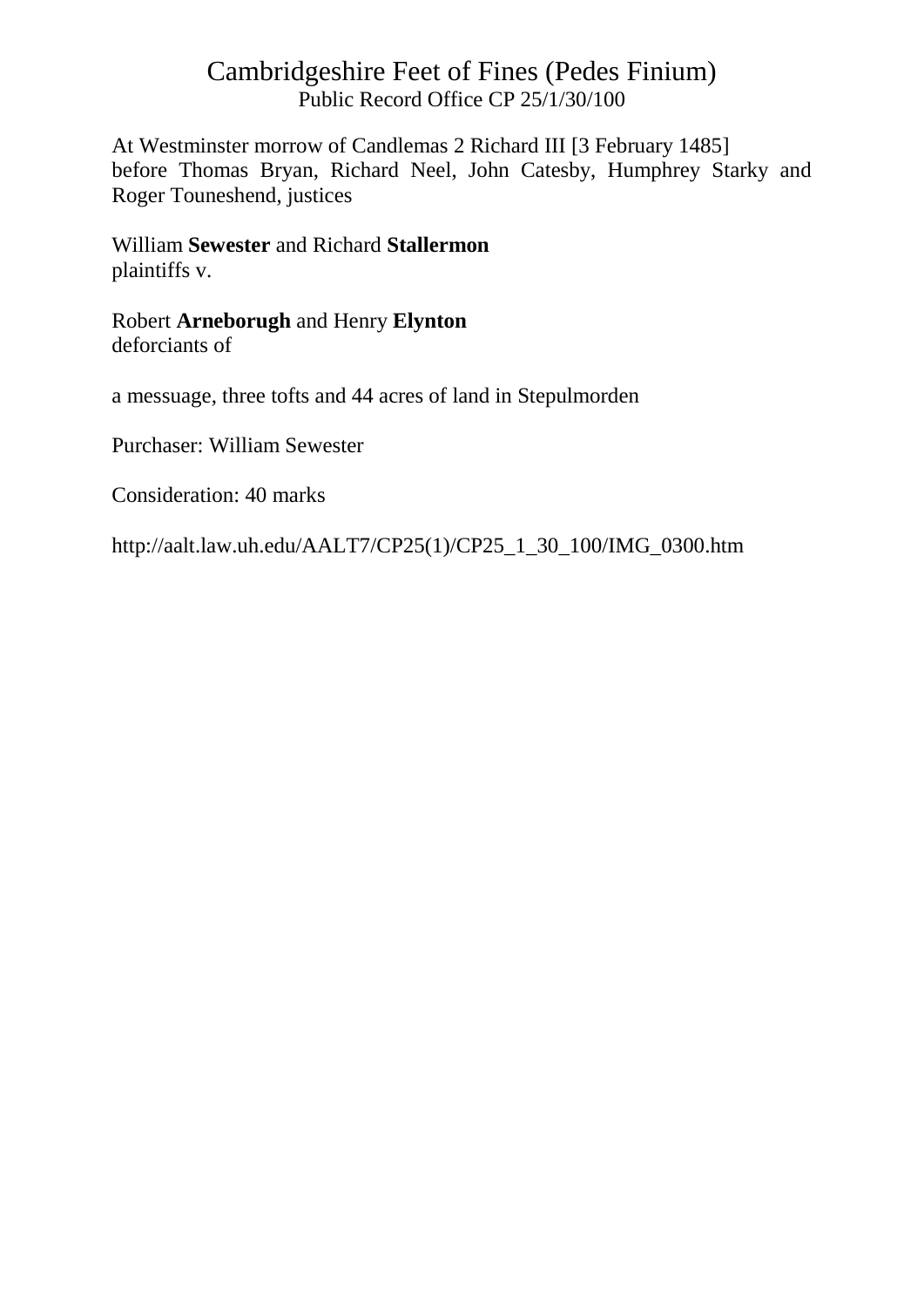At Westminster morrow of Candlemas 2 Richard III [3 February 1485] before Thomas Bryan, Richard Neel, John Catesby, Humphrey Starky and Roger Touneshend, justices

#### William **Sewester** and Richard **Stallermon** plaintiffs v.

Robert **Arneborugh** and Henry **Elynton** deforciants of

a messuage, three tofts and 44 acres of land in Stepulmorden

Purchaser: William Sewester

Consideration: 40 marks

http://aalt.law.uh.edu/AALT7/CP25(1)/CP25\_1\_30\_100/IMG\_0300.htm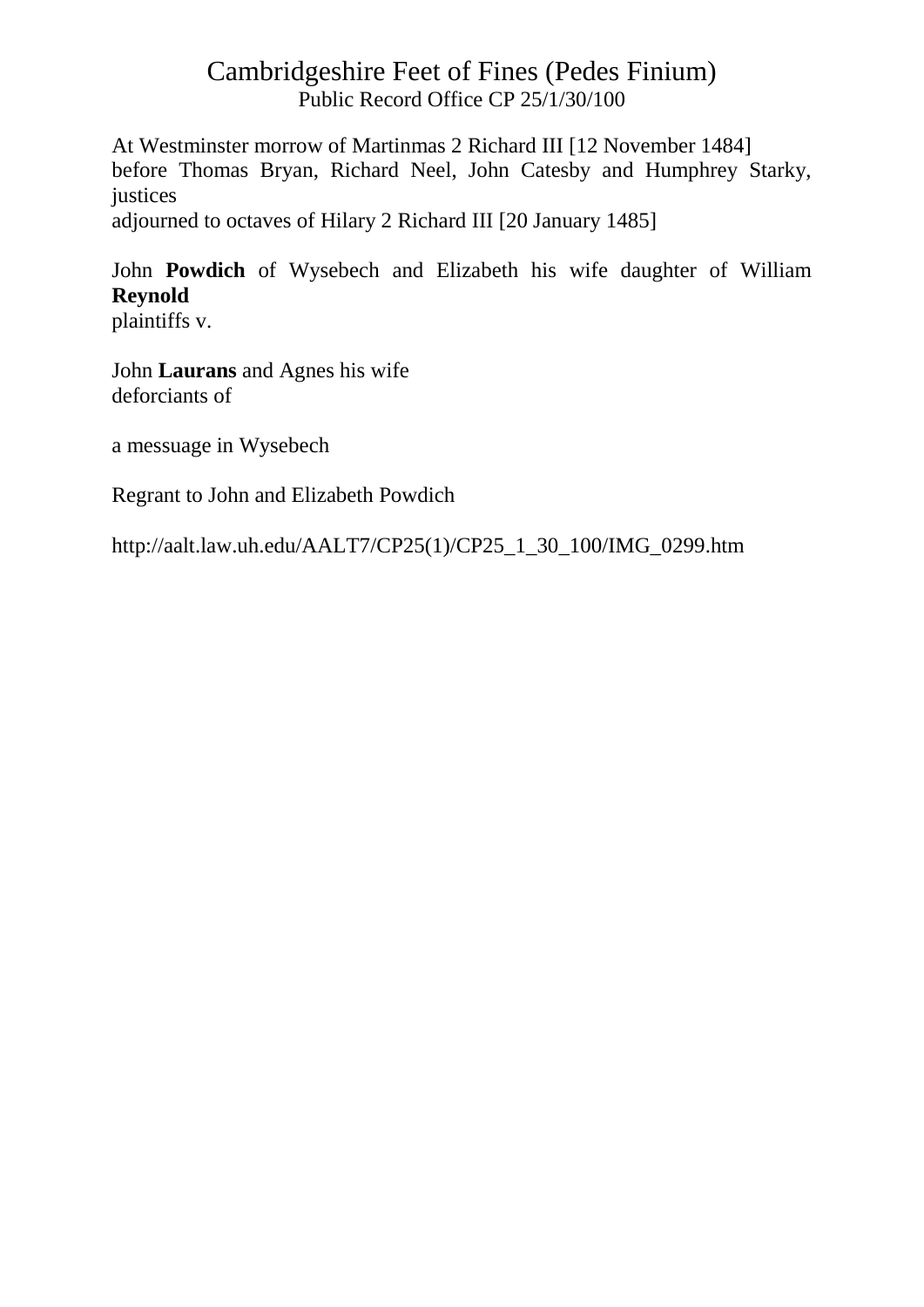At Westminster morrow of Martinmas 2 Richard III [12 November 1484] before Thomas Bryan, Richard Neel, John Catesby and Humphrey Starky, justices

adjourned to octaves of Hilary 2 Richard III [20 January 1485]

John **Powdich** of Wysebech and Elizabeth his wife daughter of William **Reynold**

plaintiffs v.

John **Laurans** and Agnes his wife deforciants of

a messuage in Wysebech

Regrant to John and Elizabeth Powdich

http://aalt.law.uh.edu/AALT7/CP25(1)/CP25\_1\_30\_100/IMG\_0299.htm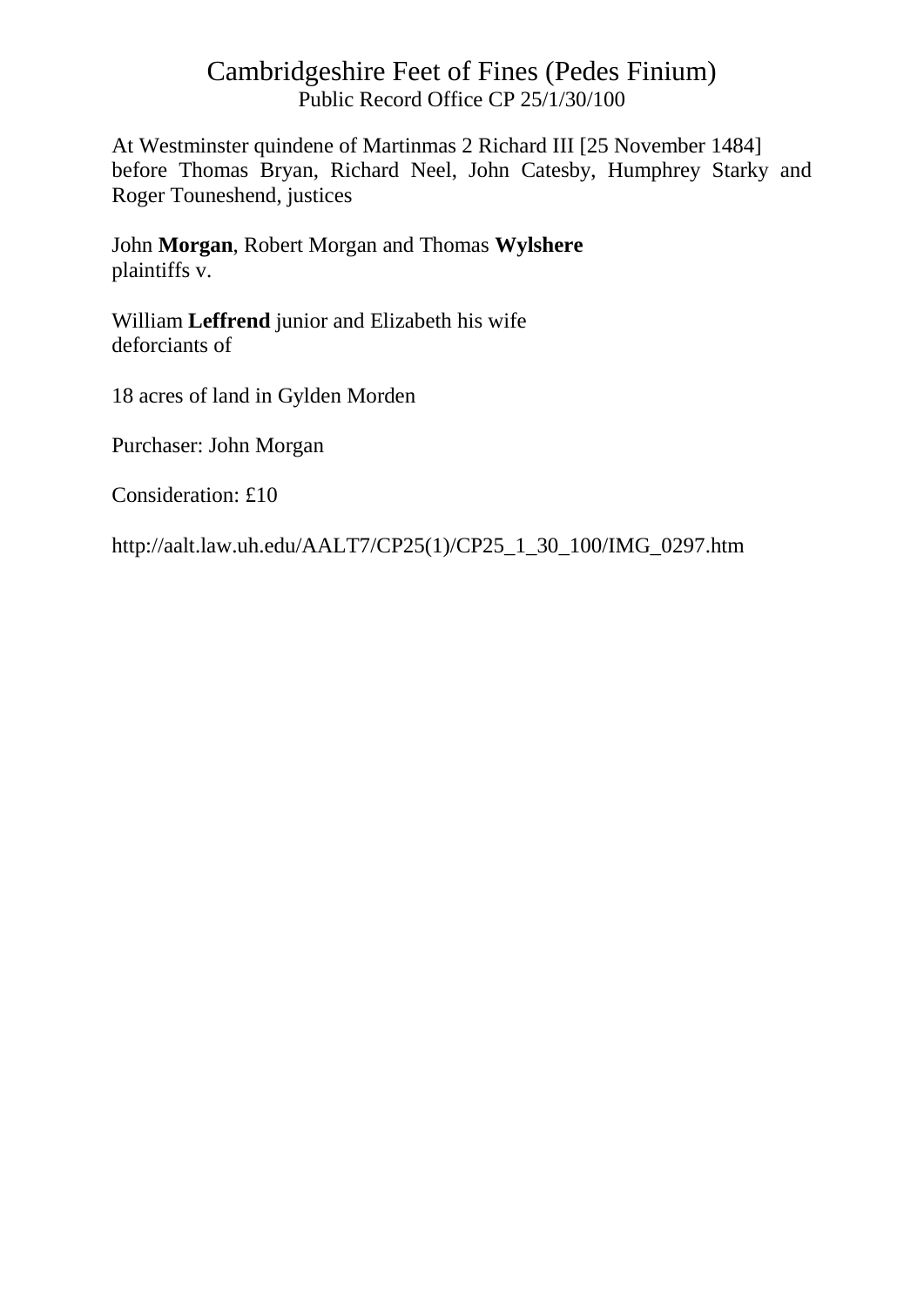At Westminster quindene of Martinmas 2 Richard III [25 November 1484] before Thomas Bryan, Richard Neel, John Catesby, Humphrey Starky and Roger Touneshend, justices

John **Morgan**, Robert Morgan and Thomas **Wylshere** plaintiffs v.

William **Leffrend** junior and Elizabeth his wife deforciants of

18 acres of land in Gylden Morden

Purchaser: John Morgan

Consideration: £10

http://aalt.law.uh.edu/AALT7/CP25(1)/CP25\_1\_30\_100/IMG\_0297.htm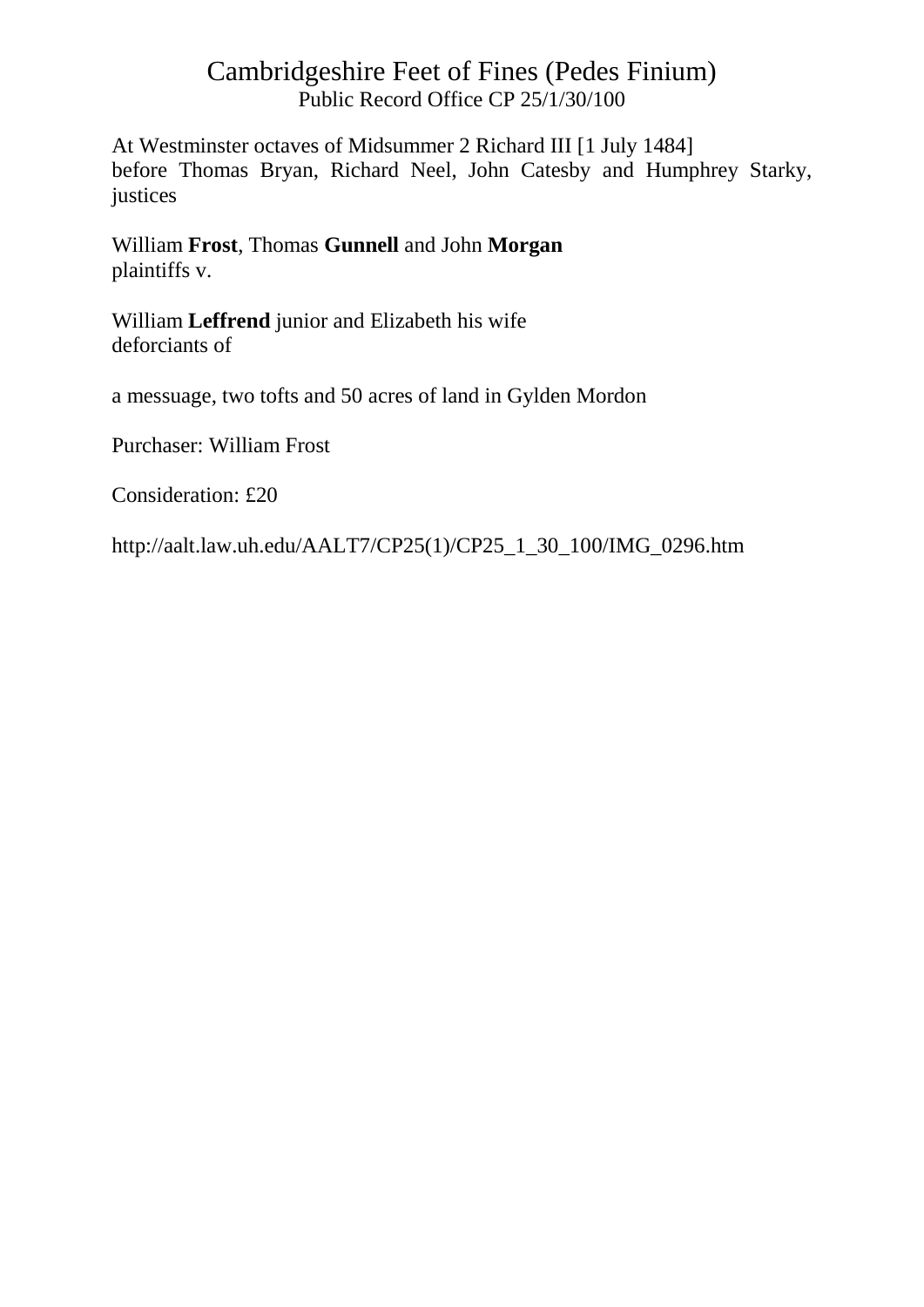At Westminster octaves of Midsummer 2 Richard III [1 July 1484] before Thomas Bryan, Richard Neel, John Catesby and Humphrey Starky, justices

William **Frost**, Thomas **Gunnell** and John **Morgan** plaintiffs v.

William **Leffrend** junior and Elizabeth his wife deforciants of

a messuage, two tofts and 50 acres of land in Gylden Mordon

Purchaser: William Frost

Consideration: £20

http://aalt.law.uh.edu/AALT7/CP25(1)/CP25\_1\_30\_100/IMG\_0296.htm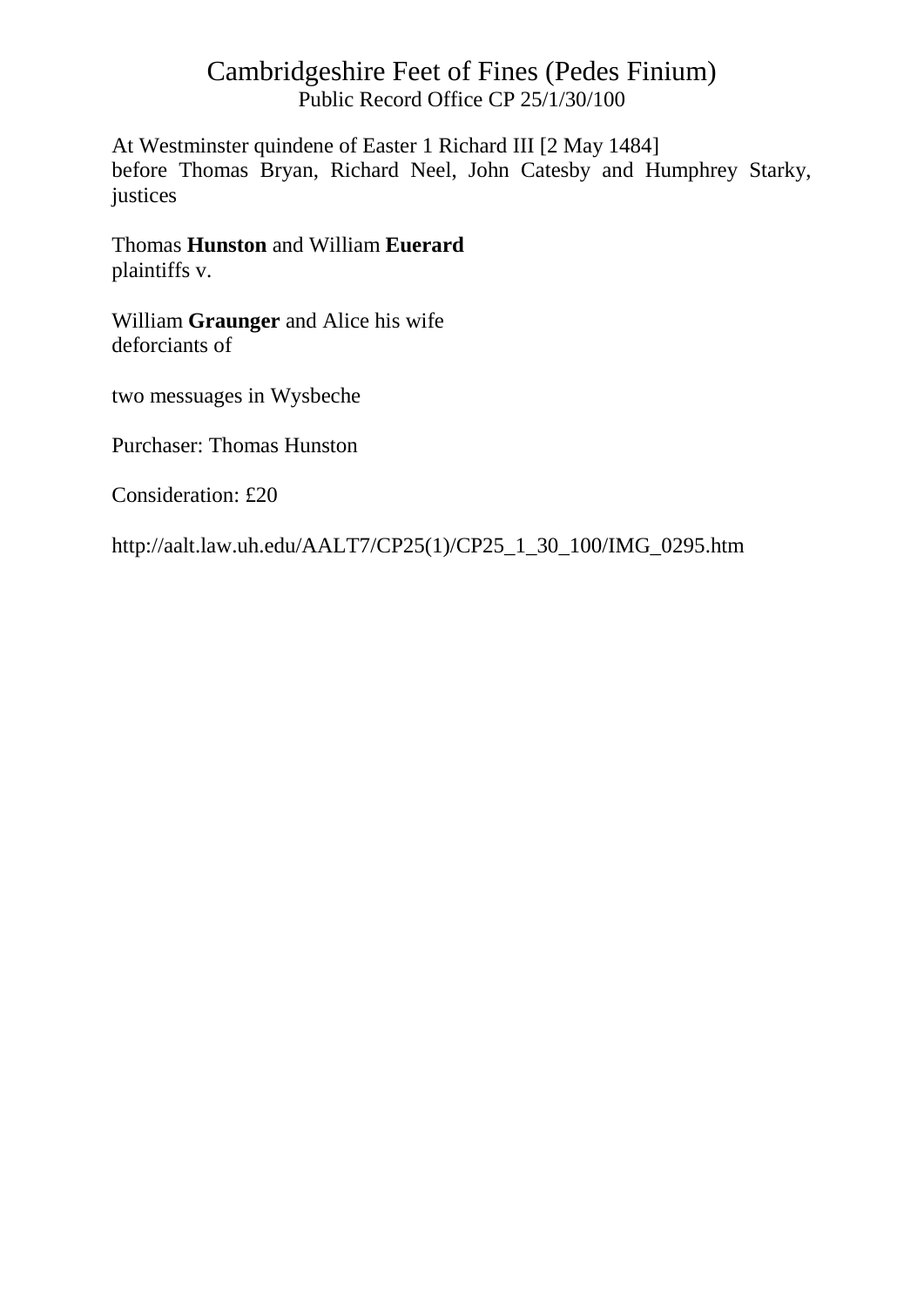At Westminster quindene of Easter 1 Richard III [2 May 1484] before Thomas Bryan, Richard Neel, John Catesby and Humphrey Starky, justices

Thomas **Hunston** and William **Euerard** plaintiffs v.

William **Graunger** and Alice his wife deforciants of

two messuages in Wysbeche

Purchaser: Thomas Hunston

Consideration: £20

http://aalt.law.uh.edu/AALT7/CP25(1)/CP25\_1\_30\_100/IMG\_0295.htm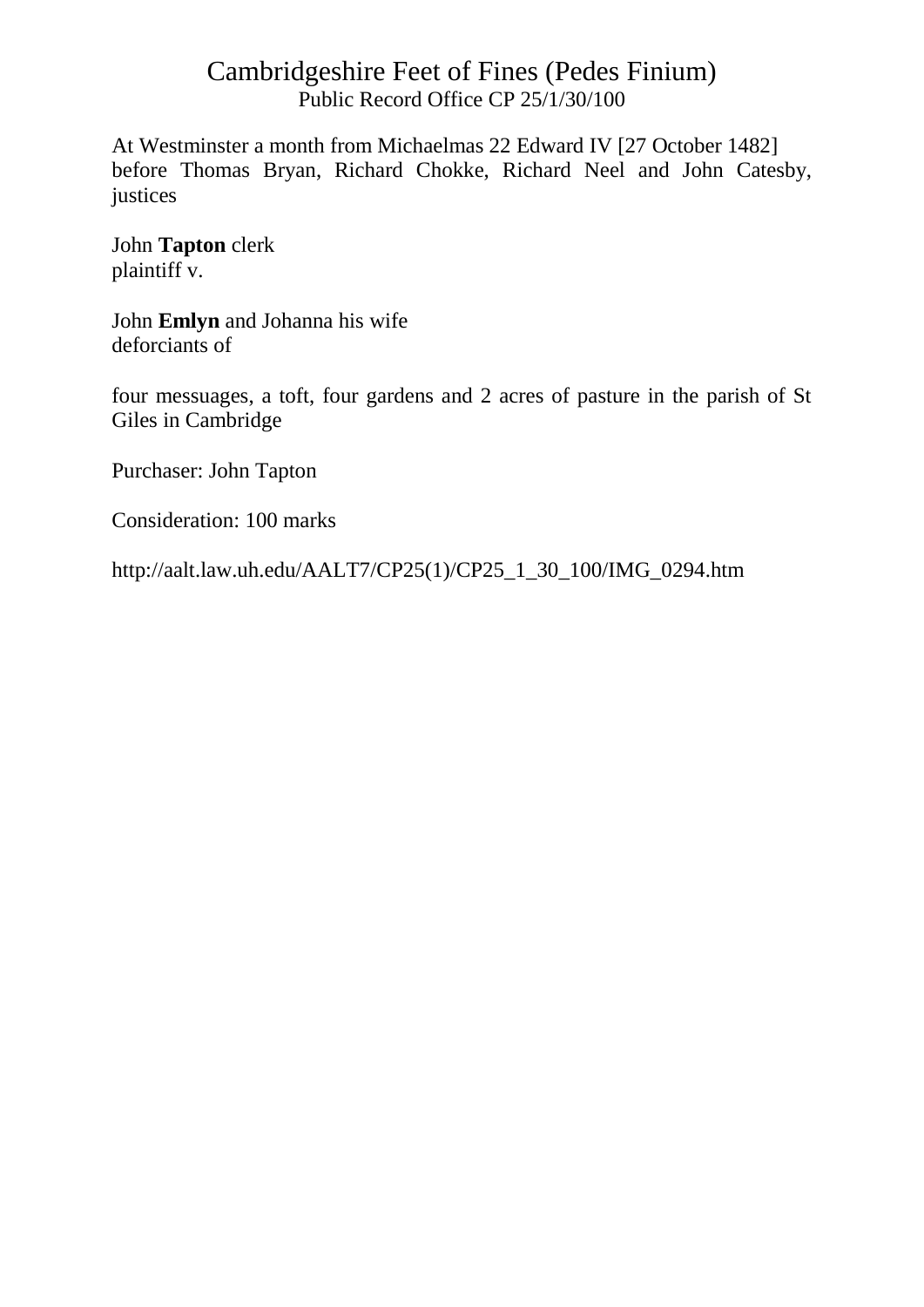At Westminster a month from Michaelmas 22 Edward IV [27 October 1482] before Thomas Bryan, Richard Chokke, Richard Neel and John Catesby, justices

John **Tapton** clerk plaintiff v.

John **Emlyn** and Johanna his wife deforciants of

four messuages, a toft, four gardens and 2 acres of pasture in the parish of St Giles in Cambridge

Purchaser: John Tapton

Consideration: 100 marks

http://aalt.law.uh.edu/AALT7/CP25(1)/CP25\_1\_30\_100/IMG\_0294.htm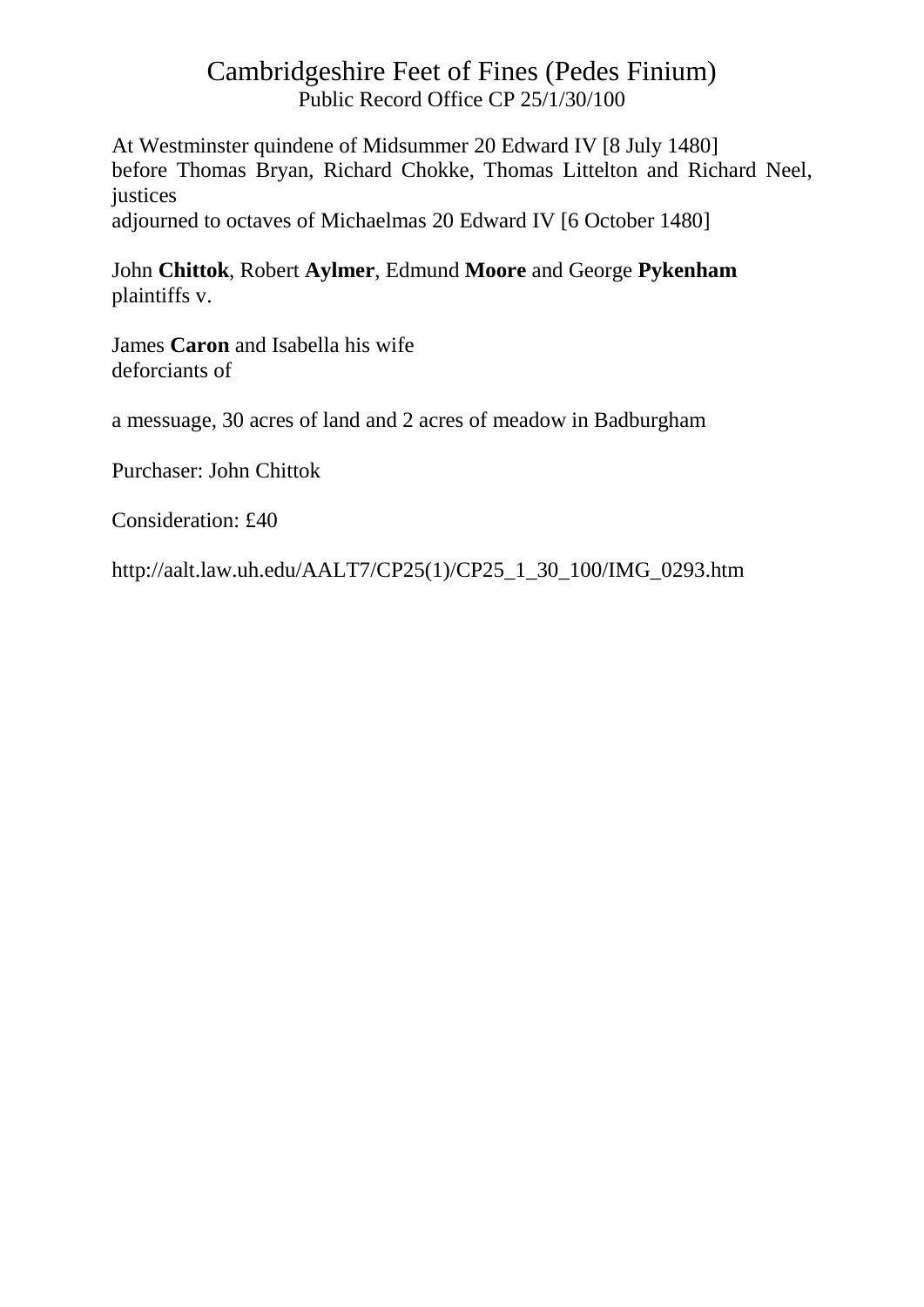At Westminster quindene of Midsummer 20 Edward IV [8 July 1480] before Thomas Bryan, Richard Chokke, Thomas Littelton and Richard Neel, justices

adjourned to octaves of Michaelmas 20 Edward IV [6 October 1480]

John **Chittok**, Robert **Aylmer**, Edmund **Moore** and George **Pykenham** plaintiffs v.

James **Caron** and Isabella his wife deforciants of

a messuage, 30 acres of land and 2 acres of meadow in Badburgham

Purchaser: John Chittok

Consideration: £40

http://aalt.law.uh.edu/AALT7/CP25(1)/CP25\_1\_30\_100/IMG\_0293.htm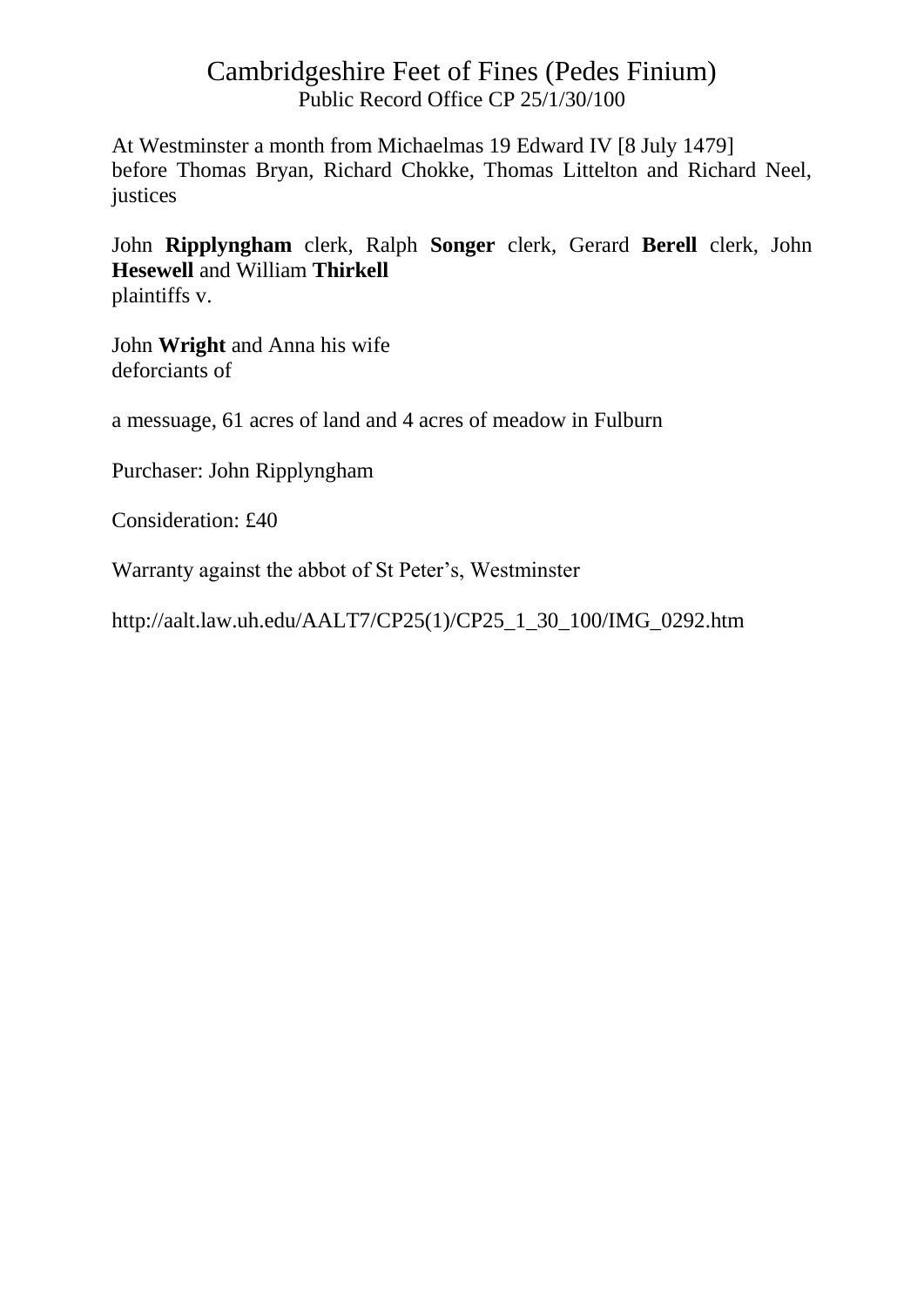At Westminster a month from Michaelmas 19 Edward IV [8 July 1479] before Thomas Bryan, Richard Chokke, Thomas Littelton and Richard Neel, justices

John **Ripplyngham** clerk, Ralph **Songer** clerk, Gerard **Berell** clerk, John **Hesewell** and William **Thirkell** plaintiffs v.

John **Wright** and Anna his wife deforciants of

a messuage, 61 acres of land and 4 acres of meadow in Fulburn

Purchaser: John Ripplyngham

Consideration: £40

Warranty against the abbot of St Peter's, Westminster

http://aalt.law.uh.edu/AALT7/CP25(1)/CP25\_1\_30\_100/IMG\_0292.htm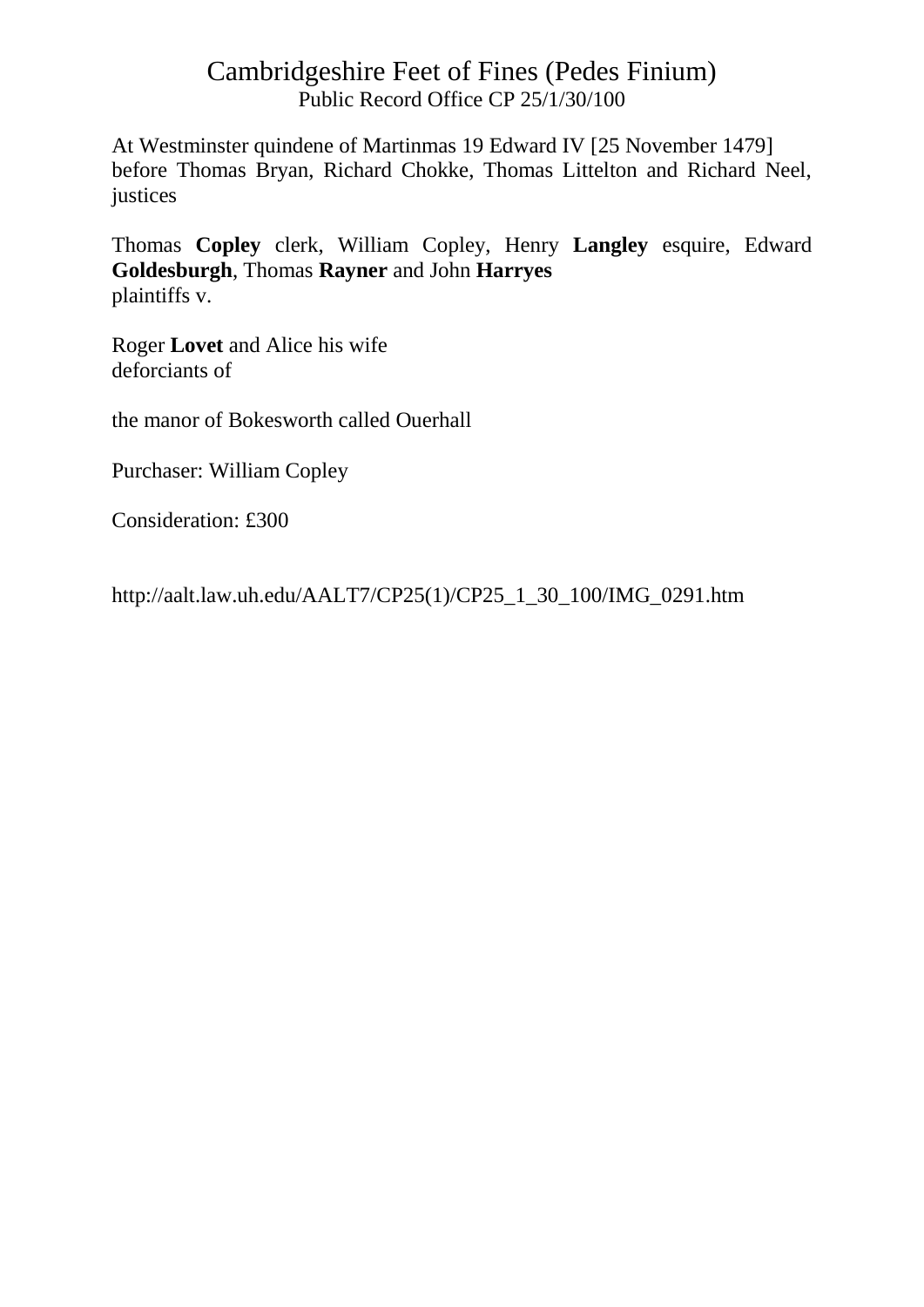At Westminster quindene of Martinmas 19 Edward IV [25 November 1479] before Thomas Bryan, Richard Chokke, Thomas Littelton and Richard Neel, justices

Thomas **Copley** clerk, William Copley, Henry **Langley** esquire, Edward **Goldesburgh**, Thomas **Rayner** and John **Harryes** plaintiffs v.

Roger **Lovet** and Alice his wife deforciants of

the manor of Bokesworth called Ouerhall

Purchaser: William Copley

Consideration: £300

http://aalt.law.uh.edu/AALT7/CP25(1)/CP25\_1\_30\_100/IMG\_0291.htm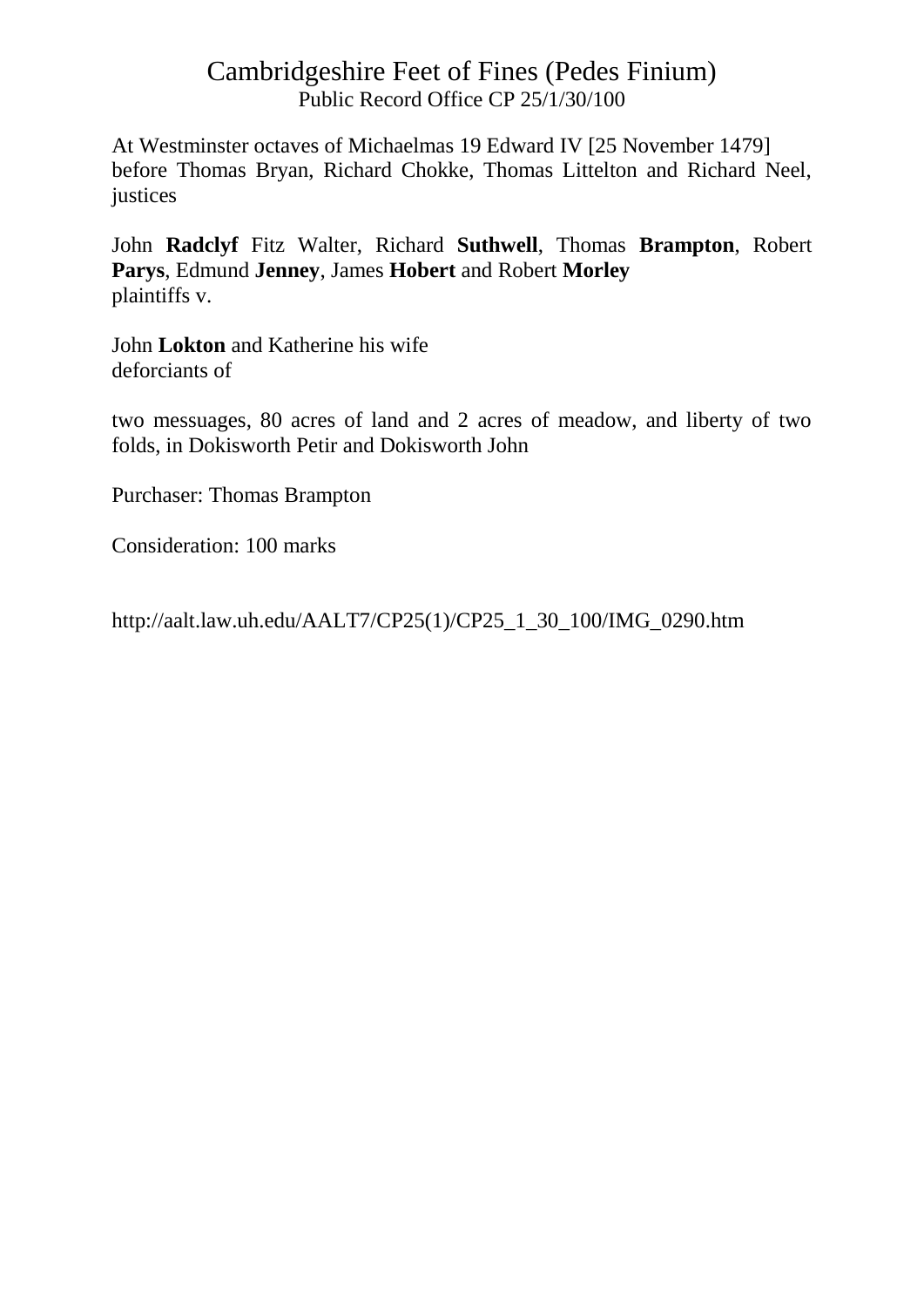At Westminster octaves of Michaelmas 19 Edward IV [25 November 1479] before Thomas Bryan, Richard Chokke, Thomas Littelton and Richard Neel, justices

John **Radclyf** Fitz Walter, Richard **Suthwell**, Thomas **Brampton**, Robert **Parys**, Edmund **Jenney**, James **Hobert** and Robert **Morley** plaintiffs v.

John **Lokton** and Katherine his wife deforciants of

two messuages, 80 acres of land and 2 acres of meadow, and liberty of two folds, in Dokisworth Petir and Dokisworth John

Purchaser: Thomas Brampton

Consideration: 100 marks

http://aalt.law.uh.edu/AALT7/CP25(1)/CP25\_1\_30\_100/IMG\_0290.htm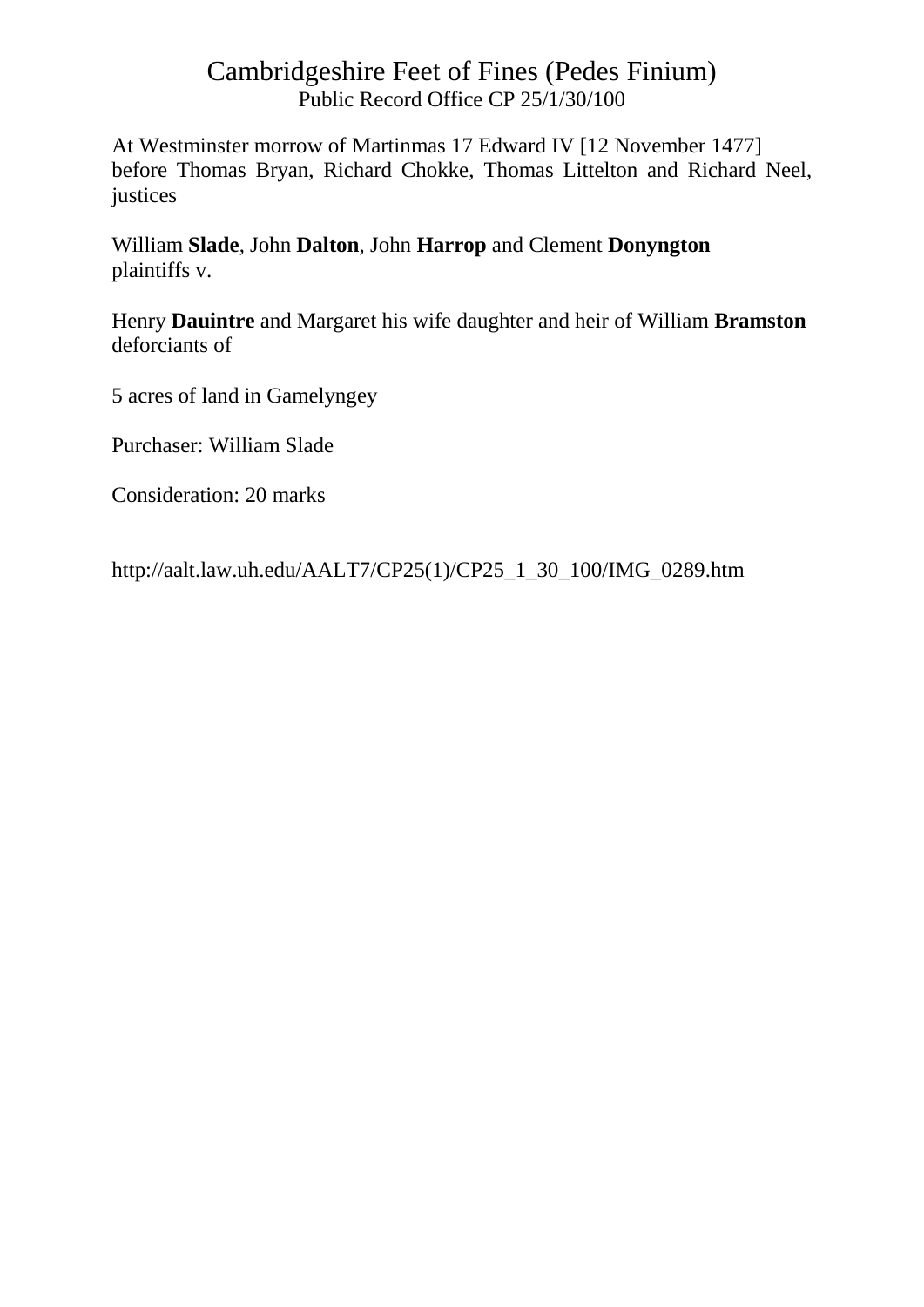At Westminster morrow of Martinmas 17 Edward IV [12 November 1477] before Thomas Bryan, Richard Chokke, Thomas Littelton and Richard Neel, justices

William **Slade**, John **Dalton**, John **Harrop** and Clement **Donyngton** plaintiffs v.

Henry **Dauintre** and Margaret his wife daughter and heir of William **Bramston** deforciants of

5 acres of land in Gamelyngey

Purchaser: William Slade

Consideration: 20 marks

http://aalt.law.uh.edu/AALT7/CP25(1)/CP25\_1\_30\_100/IMG\_0289.htm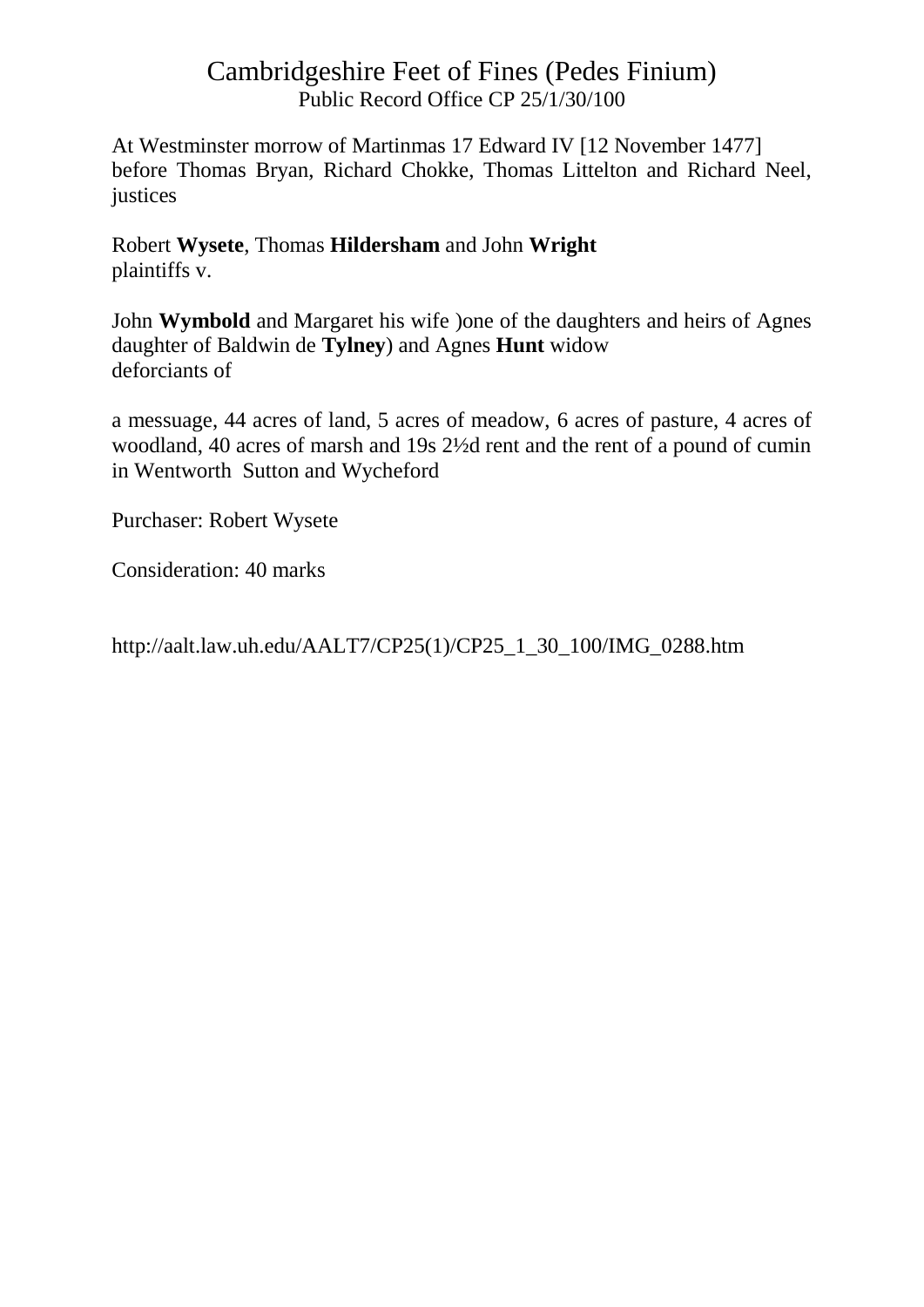At Westminster morrow of Martinmas 17 Edward IV [12 November 1477] before Thomas Bryan, Richard Chokke, Thomas Littelton and Richard Neel, justices

Robert **Wysete**, Thomas **Hildersham** and John **Wright** plaintiffs v.

John **Wymbold** and Margaret his wife )one of the daughters and heirs of Agnes daughter of Baldwin de **Tylney**) and Agnes **Hunt** widow deforciants of

a messuage, 44 acres of land, 5 acres of meadow, 6 acres of pasture, 4 acres of woodland, 40 acres of marsh and 19s 2½d rent and the rent of a pound of cumin in Wentworth Sutton and Wycheford

Purchaser: Robert Wysete

Consideration: 40 marks

http://aalt.law.uh.edu/AALT7/CP25(1)/CP25\_1\_30\_100/IMG\_0288.htm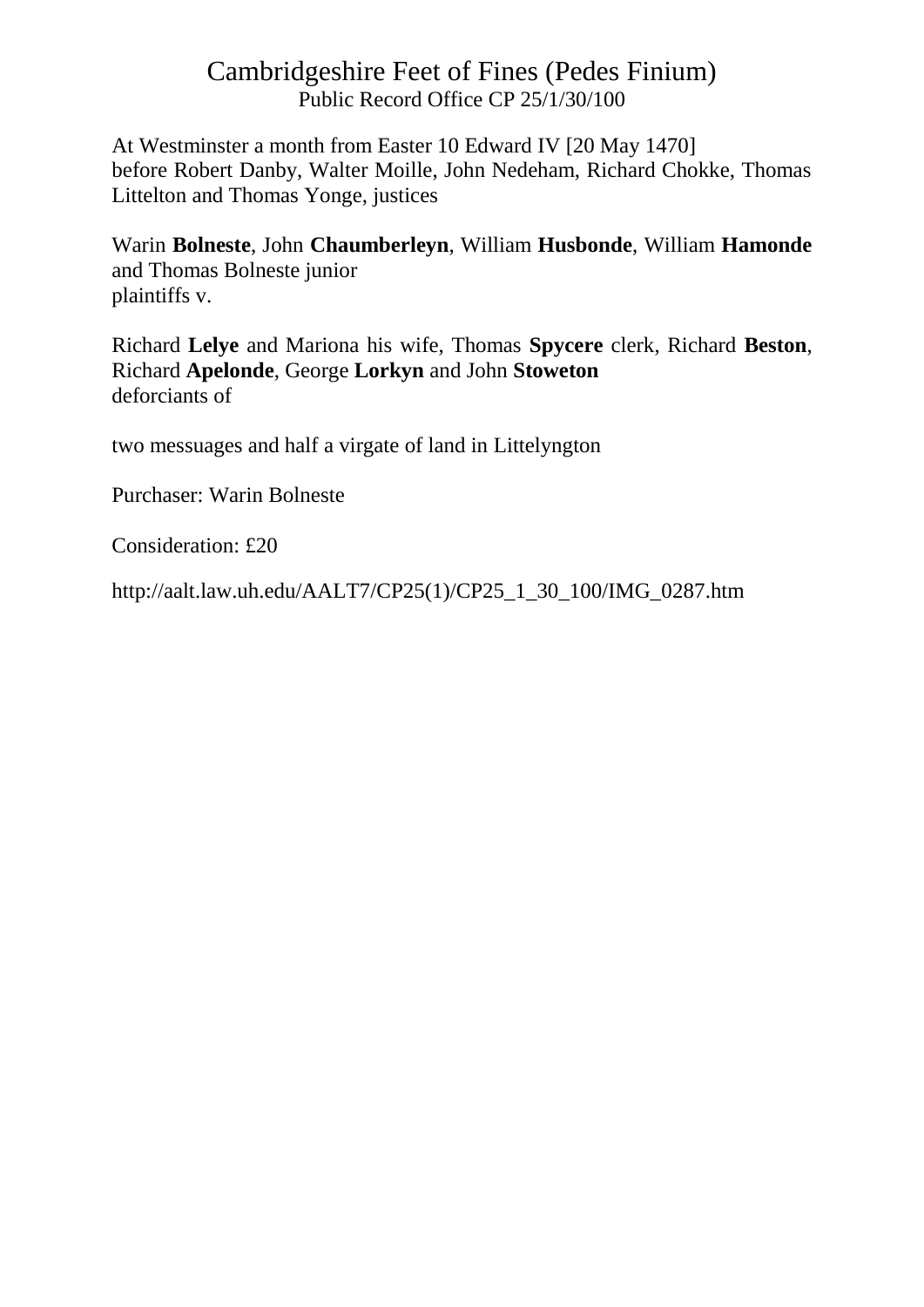At Westminster a month from Easter 10 Edward IV [20 May 1470] before Robert Danby, Walter Moille, John Nedeham, Richard Chokke, Thomas Littelton and Thomas Yonge, justices

Warin **Bolneste**, John **Chaumberleyn**, William **Husbonde**, William **Hamonde** and Thomas Bolneste junior plaintiffs v.

Richard **Lelye** and Mariona his wife, Thomas **Spycere** clerk, Richard **Beston**, Richard **Apelonde**, George **Lorkyn** and John **Stoweton** deforciants of

two messuages and half a virgate of land in Littelyngton

Purchaser: Warin Bolneste

Consideration: £20

http://aalt.law.uh.edu/AALT7/CP25(1)/CP25\_1\_30\_100/IMG\_0287.htm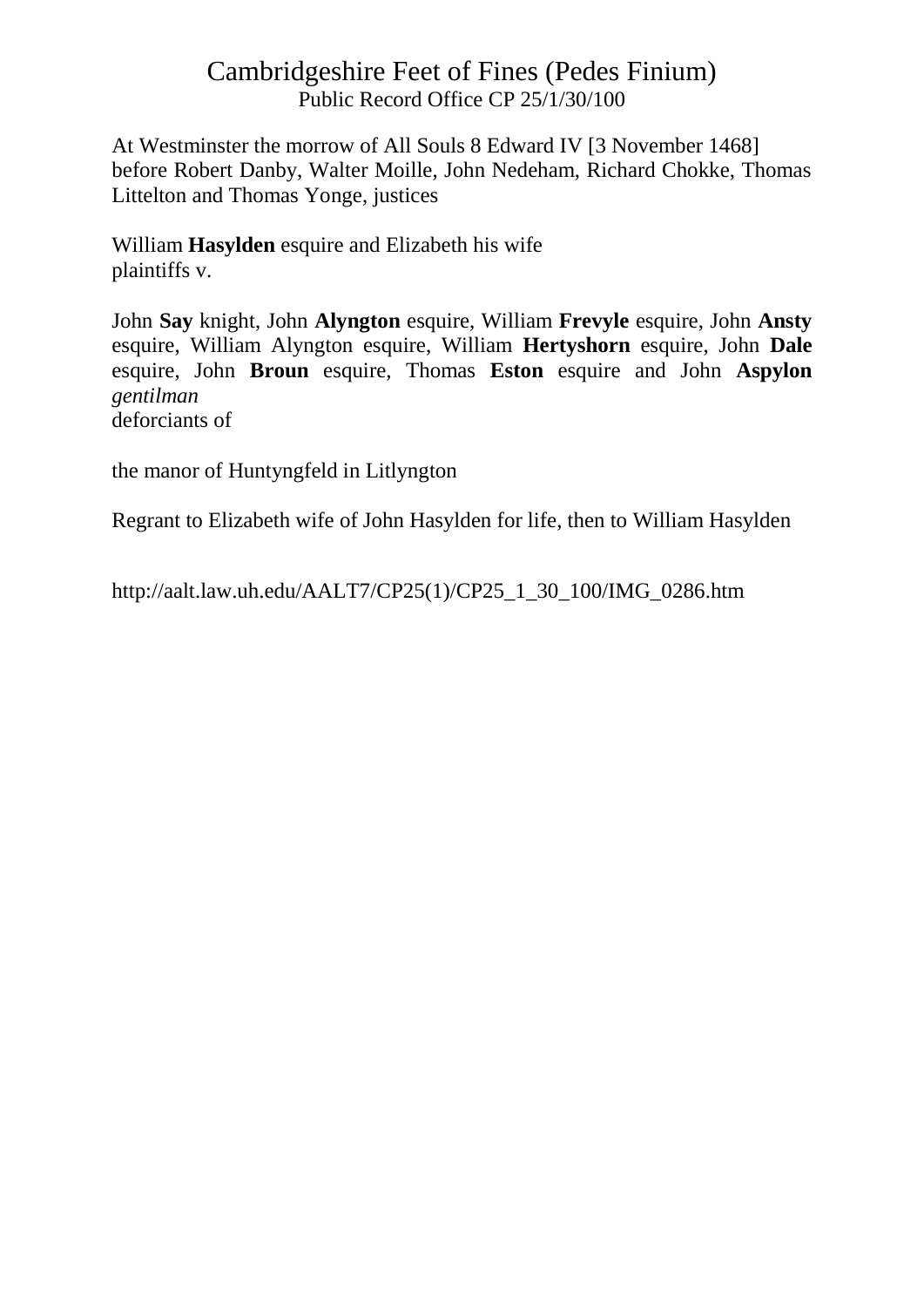At Westminster the morrow of All Souls 8 Edward IV [3 November 1468] before Robert Danby, Walter Moille, John Nedeham, Richard Chokke, Thomas Littelton and Thomas Yonge, justices

William **Hasylden** esquire and Elizabeth his wife plaintiffs v.

John **Say** knight, John **Alyngton** esquire, William **Frevyle** esquire, John **Ansty** esquire, William Alyngton esquire, William **Hertyshorn** esquire, John **Dale** esquire, John **Broun** esquire, Thomas **Eston** esquire and John **Aspylon** *gentilman* deforciants of

the manor of Huntyngfeld in Litlyngton

Regrant to Elizabeth wife of John Hasylden for life, then to William Hasylden

http://aalt.law.uh.edu/AALT7/CP25(1)/CP25\_1\_30\_100/IMG\_0286.htm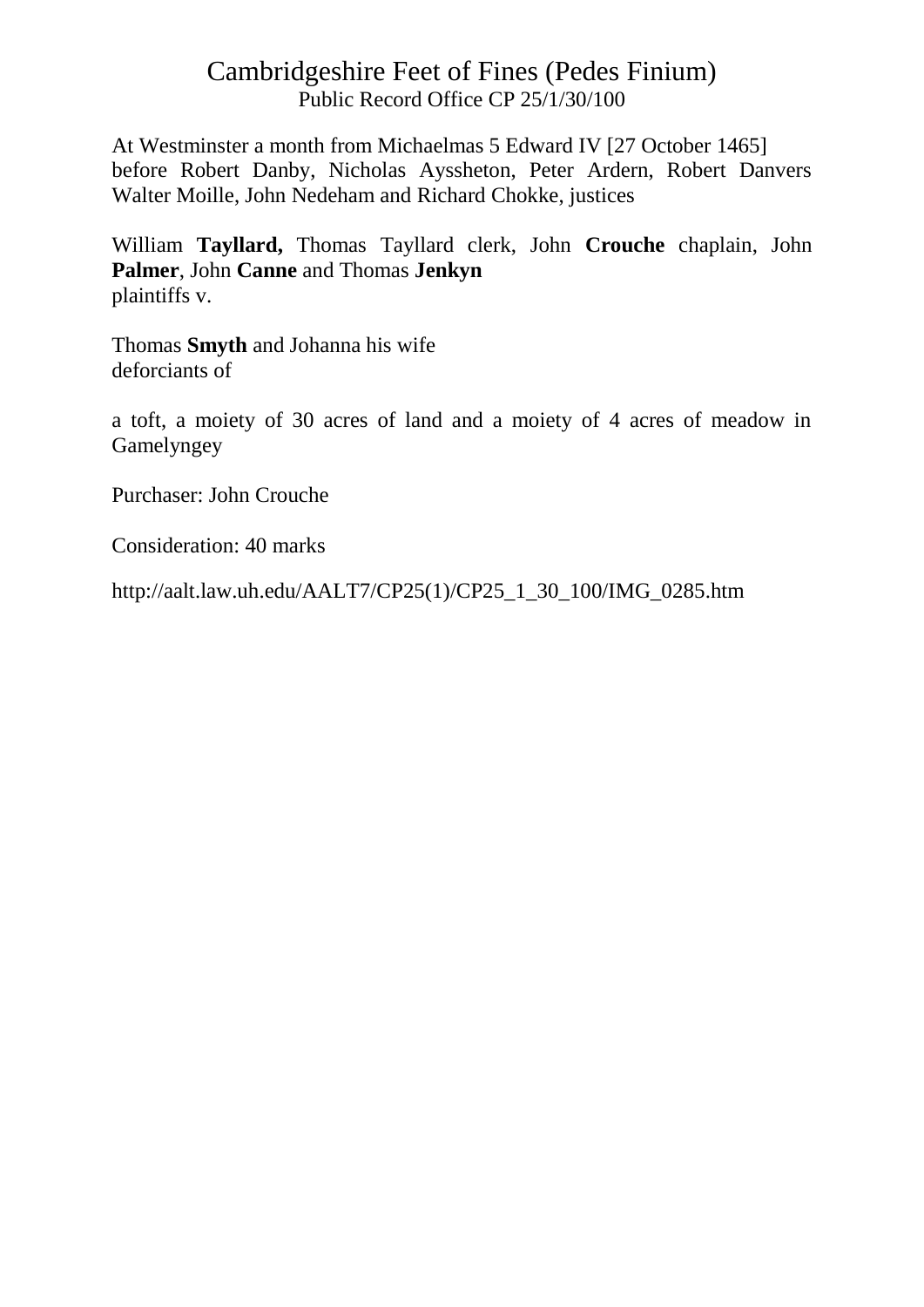At Westminster a month from Michaelmas 5 Edward IV [27 October 1465] before Robert Danby, Nicholas Ayssheton, Peter Ardern, Robert Danvers Walter Moille, John Nedeham and Richard Chokke, justices

William **Tayllard,** Thomas Tayllard clerk, John **Crouche** chaplain, John **Palmer**, John **Canne** and Thomas **Jenkyn** plaintiffs v.

Thomas **Smyth** and Johanna his wife deforciants of

a toft, a moiety of 30 acres of land and a moiety of 4 acres of meadow in Gamelyngey

Purchaser: John Crouche

Consideration: 40 marks

http://aalt.law.uh.edu/AALT7/CP25(1)/CP25\_1\_30\_100/IMG\_0285.htm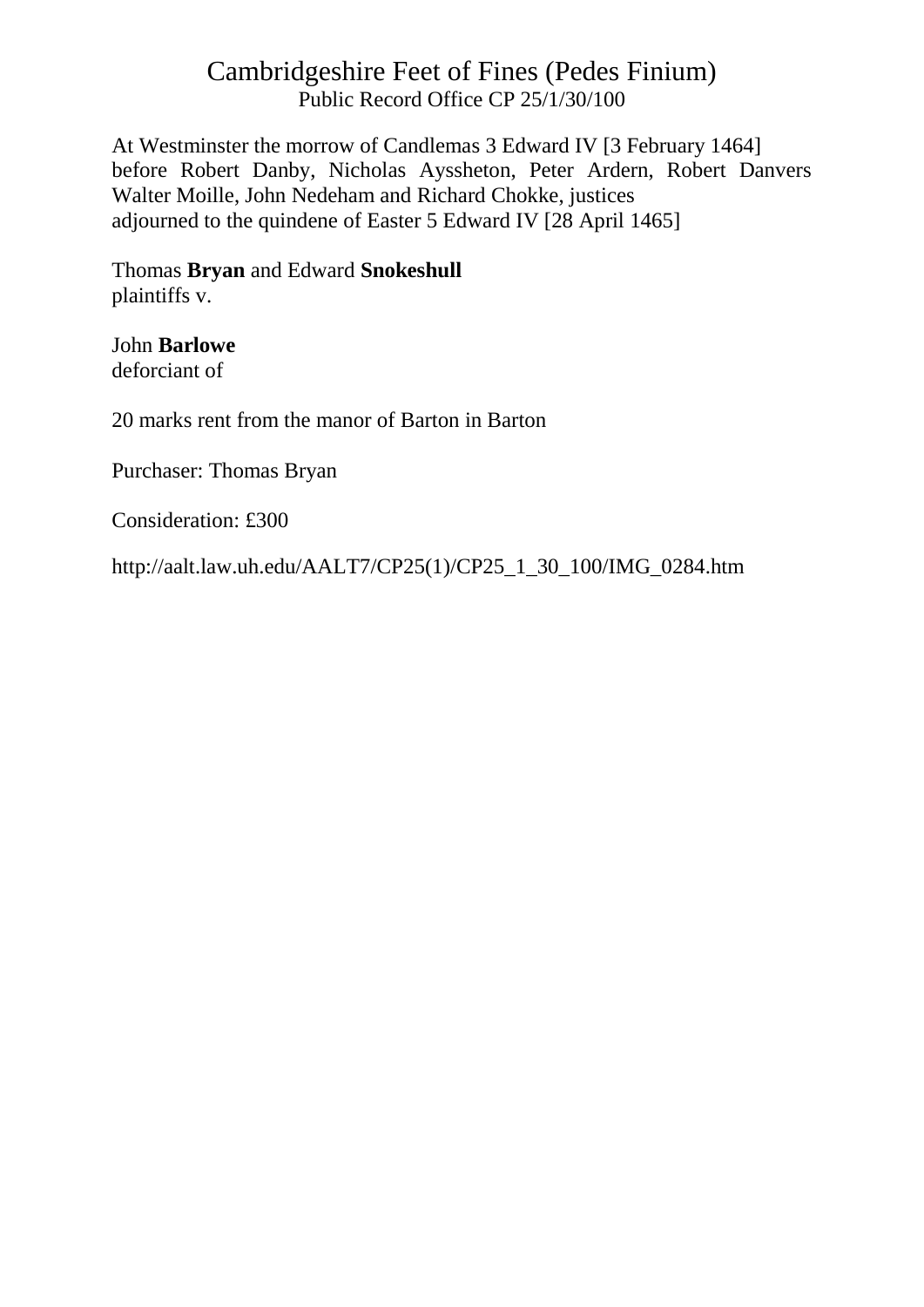At Westminster the morrow of Candlemas 3 Edward IV [3 February 1464] before Robert Danby, Nicholas Ayssheton, Peter Ardern, Robert Danvers Walter Moille, John Nedeham and Richard Chokke, justices adjourned to the quindene of Easter 5 Edward IV [28 April 1465]

Thomas **Bryan** and Edward **Snokeshull** plaintiffs v.

John **Barlowe** deforciant of

20 marks rent from the manor of Barton in Barton

Purchaser: Thomas Bryan

Consideration: £300

http://aalt.law.uh.edu/AALT7/CP25(1)/CP25\_1\_30\_100/IMG\_0284.htm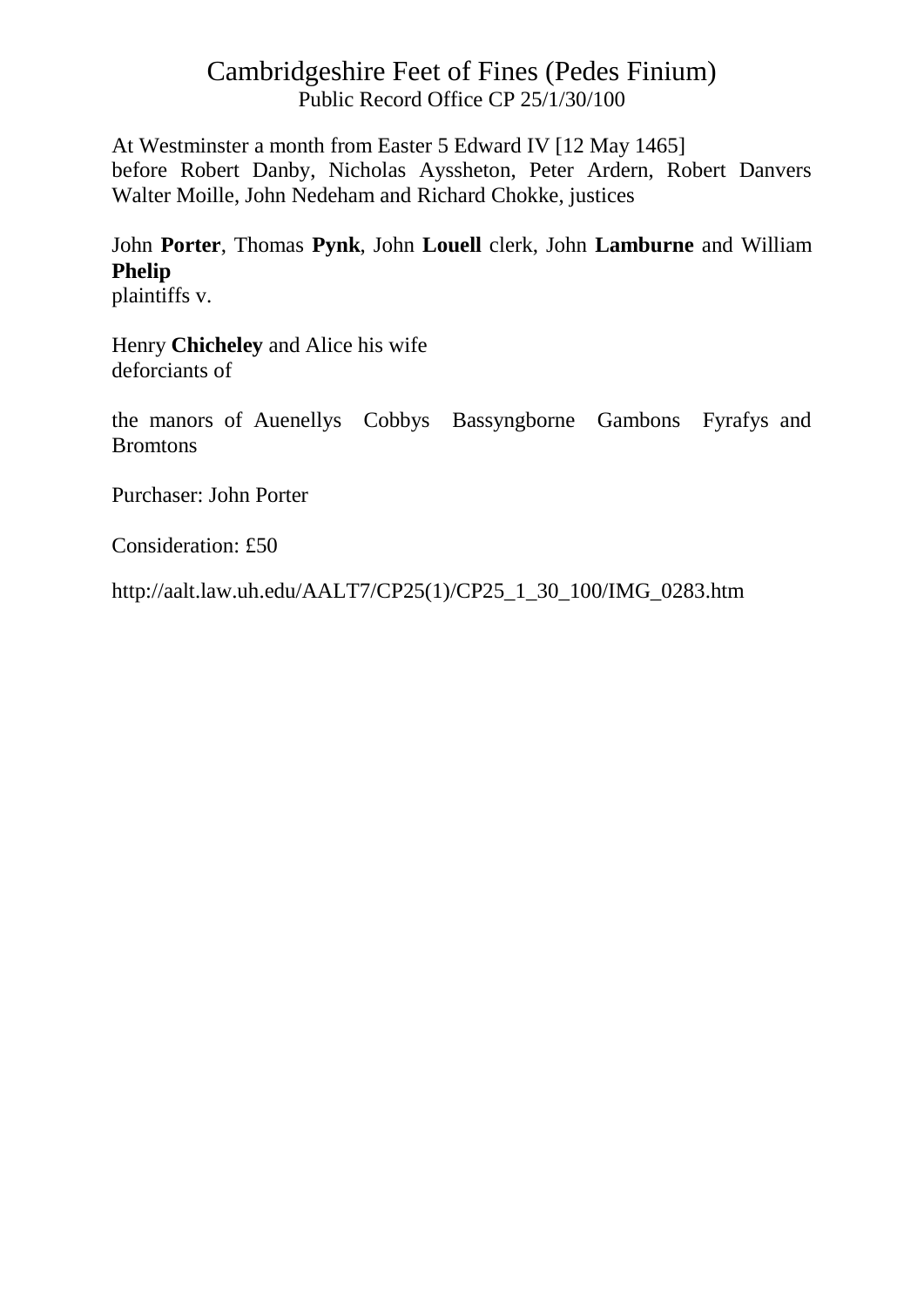At Westminster a month from Easter 5 Edward IV [12 May 1465] before Robert Danby, Nicholas Ayssheton, Peter Ardern, Robert Danvers Walter Moille, John Nedeham and Richard Chokke, justices

# John **Porter**, Thomas **Pynk**, John **Louell** clerk, John **Lamburne** and William **Phelip**

plaintiffs v.

Henry **Chicheley** and Alice his wife deforciants of

the manors of Auenellys Cobbys Bassyngborne Gambons Fyrafys and Bromtons

Purchaser: John Porter

Consideration: £50

http://aalt.law.uh.edu/AALT7/CP25(1)/CP25\_1\_30\_100/IMG\_0283.htm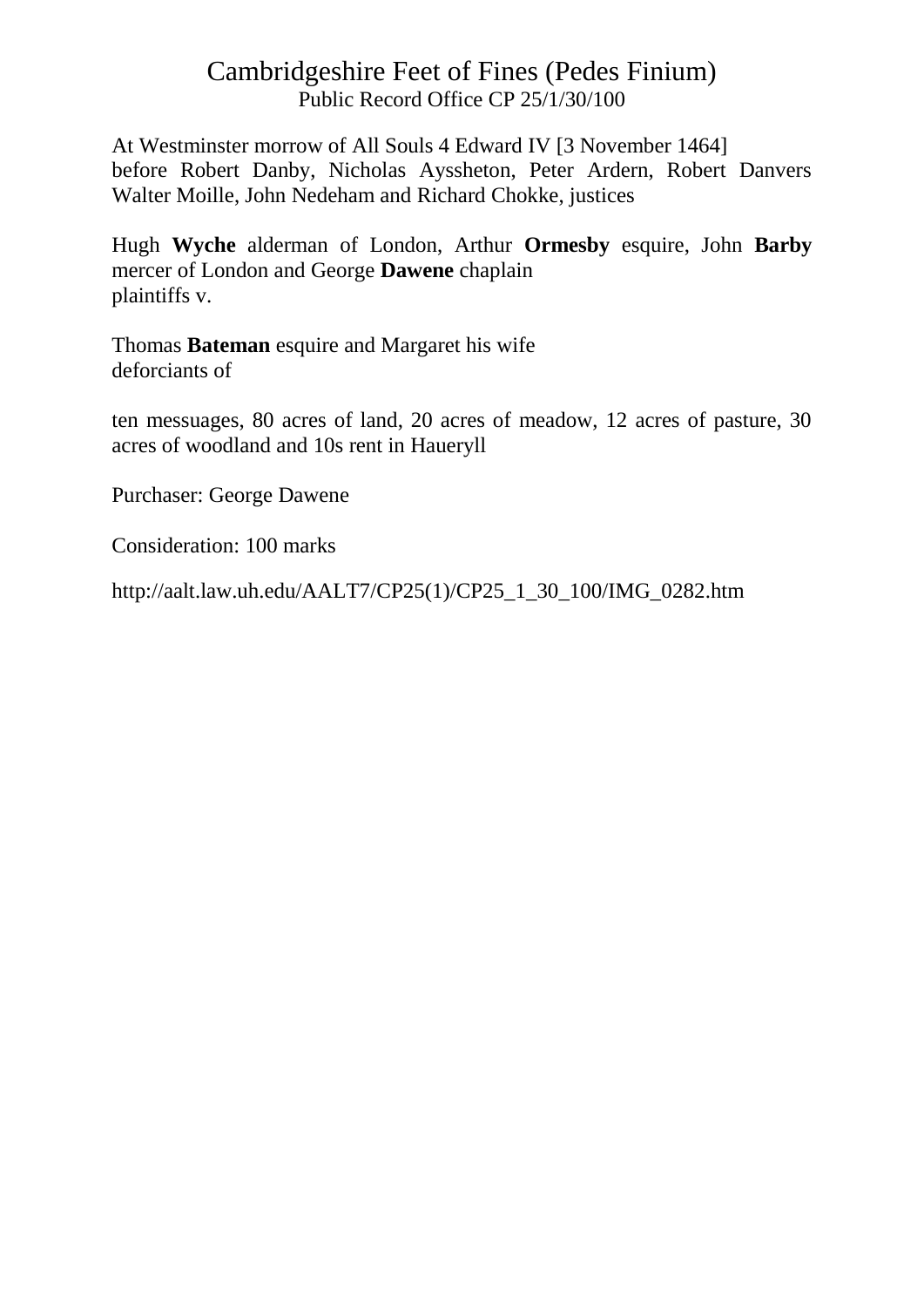At Westminster morrow of All Souls 4 Edward IV [3 November 1464] before Robert Danby, Nicholas Ayssheton, Peter Ardern, Robert Danvers Walter Moille, John Nedeham and Richard Chokke, justices

Hugh **Wyche** alderman of London, Arthur **Ormesby** esquire, John **Barby** mercer of London and George **Dawene** chaplain plaintiffs v.

Thomas **Bateman** esquire and Margaret his wife deforciants of

ten messuages, 80 acres of land, 20 acres of meadow, 12 acres of pasture, 30 acres of woodland and 10s rent in Haueryll

Purchaser: George Dawene

Consideration: 100 marks

http://aalt.law.uh.edu/AALT7/CP25(1)/CP25\_1\_30\_100/IMG\_0282.htm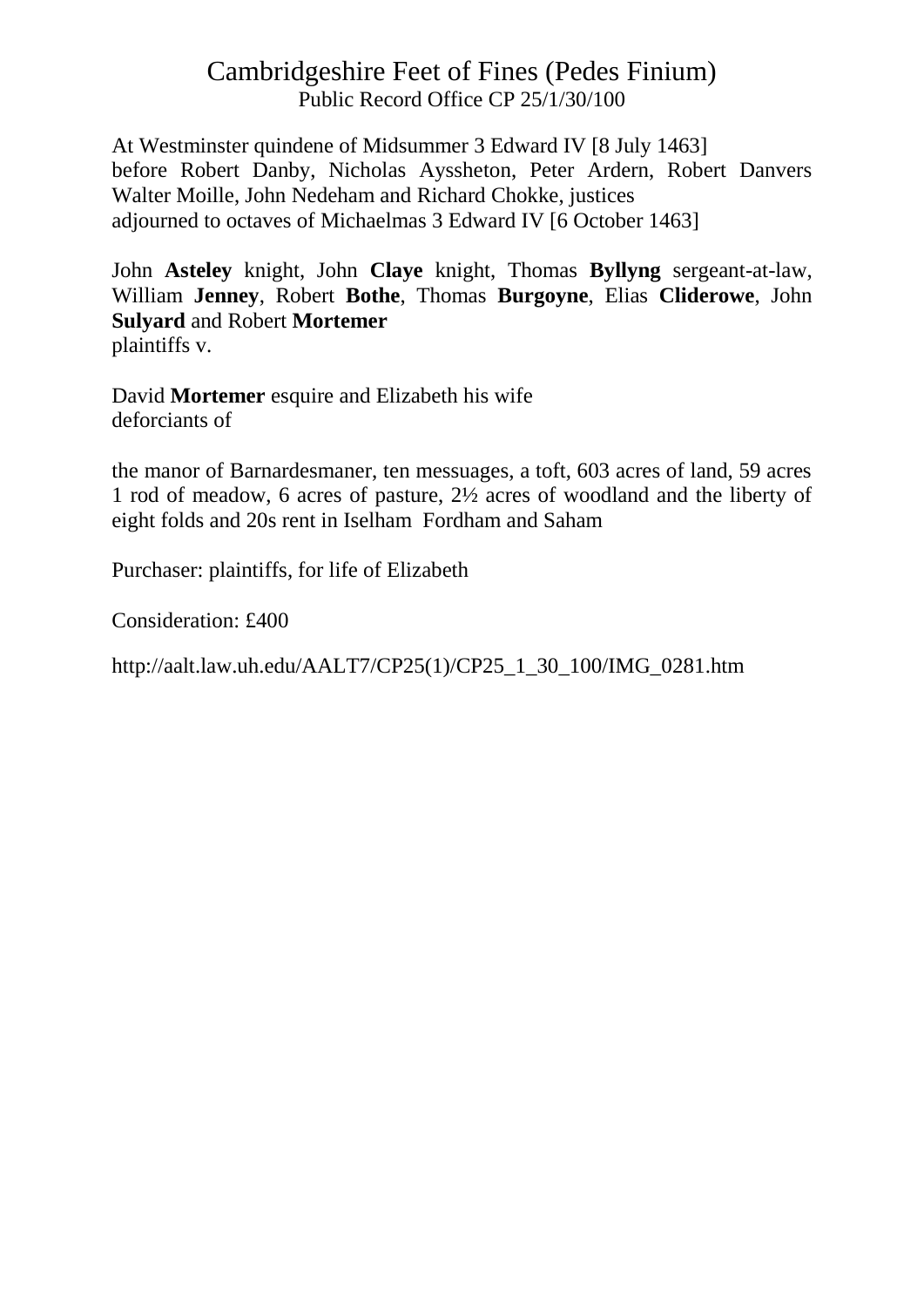At Westminster quindene of Midsummer 3 Edward IV [8 July 1463] before Robert Danby, Nicholas Ayssheton, Peter Ardern, Robert Danvers Walter Moille, John Nedeham and Richard Chokke, justices adjourned to octaves of Michaelmas 3 Edward IV [6 October 1463]

John **Asteley** knight, John **Claye** knight, Thomas **Byllyng** sergeant-at-law, William **Jenney**, Robert **Bothe**, Thomas **Burgoyne**, Elias **Cliderowe**, John **Sulyard** and Robert **Mortemer** plaintiffs v.

David **Mortemer** esquire and Elizabeth his wife deforciants of

the manor of Barnardesmaner, ten messuages, a toft, 603 acres of land, 59 acres 1 rod of meadow, 6 acres of pasture, 2½ acres of woodland and the liberty of eight folds and 20s rent in Iselham Fordham and Saham

Purchaser: plaintiffs, for life of Elizabeth

Consideration: £400

http://aalt.law.uh.edu/AALT7/CP25(1)/CP25\_1\_30\_100/IMG\_0281.htm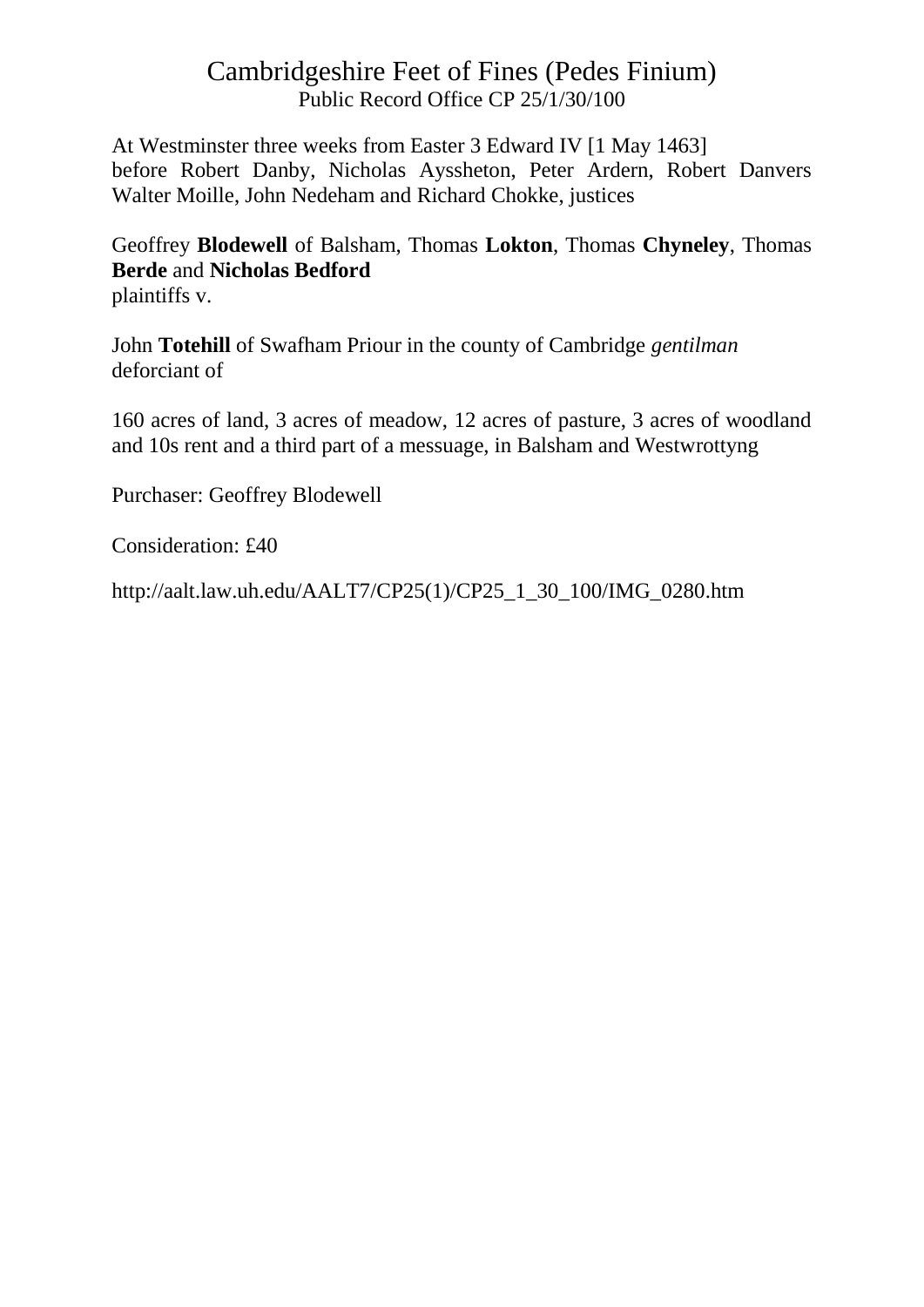At Westminster three weeks from Easter 3 Edward IV [1 May 1463] before Robert Danby, Nicholas Ayssheton, Peter Ardern, Robert Danvers Walter Moille, John Nedeham and Richard Chokke, justices

Geoffrey **Blodewell** of Balsham, Thomas **Lokton**, Thomas **Chyneley**, Thomas **Berde** and **Nicholas Bedford** plaintiffs v.

John **Totehill** of Swafham Priour in the county of Cambridge *gentilman* deforciant of

160 acres of land, 3 acres of meadow, 12 acres of pasture, 3 acres of woodland and 10s rent and a third part of a messuage, in Balsham and Westwrottyng

Purchaser: Geoffrey Blodewell

Consideration: £40

http://aalt.law.uh.edu/AALT7/CP25(1)/CP25\_1\_30\_100/IMG\_0280.htm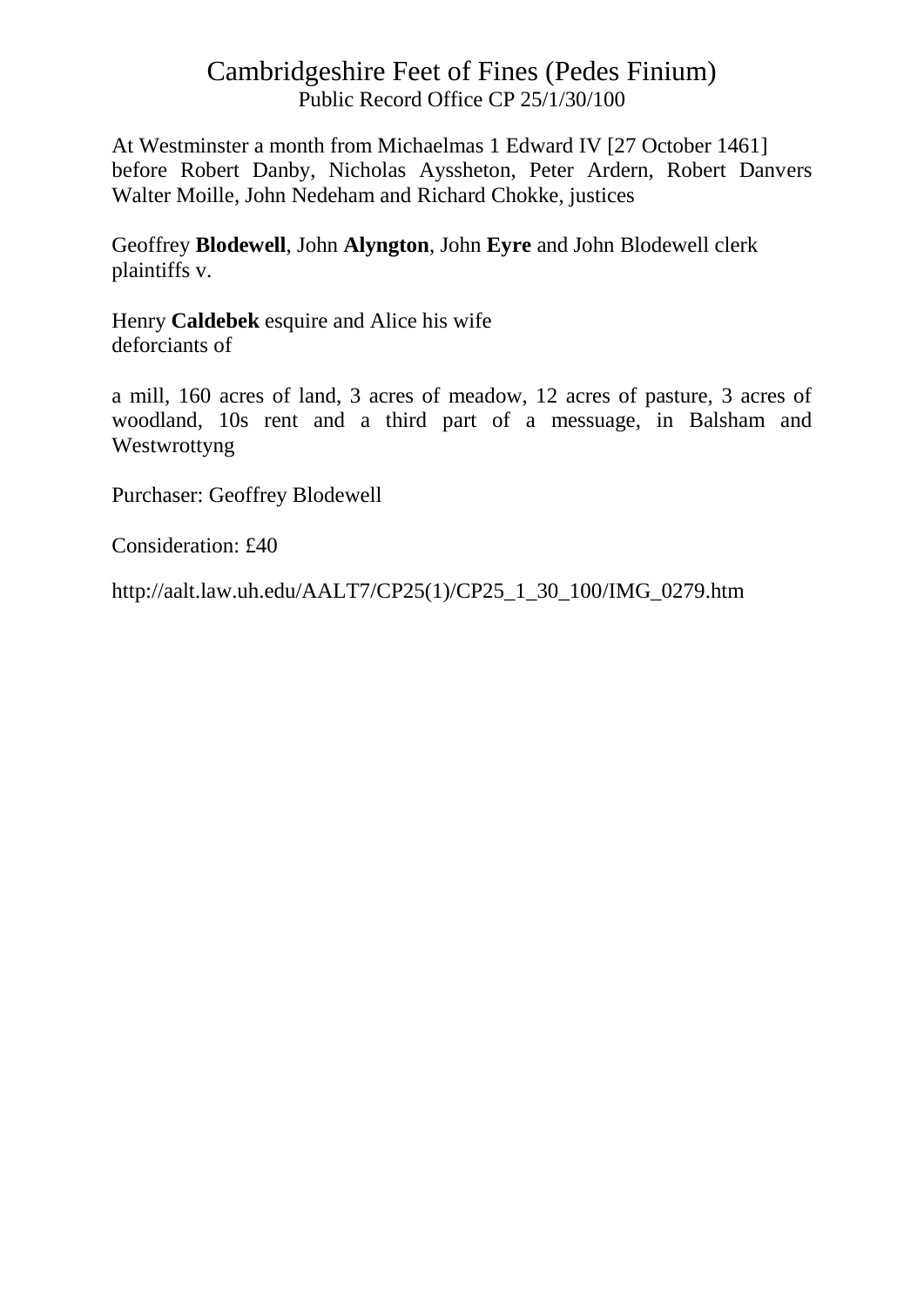At Westminster a month from Michaelmas 1 Edward IV [27 October 1461] before Robert Danby, Nicholas Ayssheton, Peter Ardern, Robert Danvers Walter Moille, John Nedeham and Richard Chokke, justices

Geoffrey **Blodewell**, John **Alyngton**, John **Eyre** and John Blodewell clerk plaintiffs v.

Henry **Caldebek** esquire and Alice his wife deforciants of

a mill, 160 acres of land, 3 acres of meadow, 12 acres of pasture, 3 acres of woodland, 10s rent and a third part of a messuage, in Balsham and Westwrottyng

Purchaser: Geoffrey Blodewell

Consideration: £40

http://aalt.law.uh.edu/AALT7/CP25(1)/CP25\_1\_30\_100/IMG\_0279.htm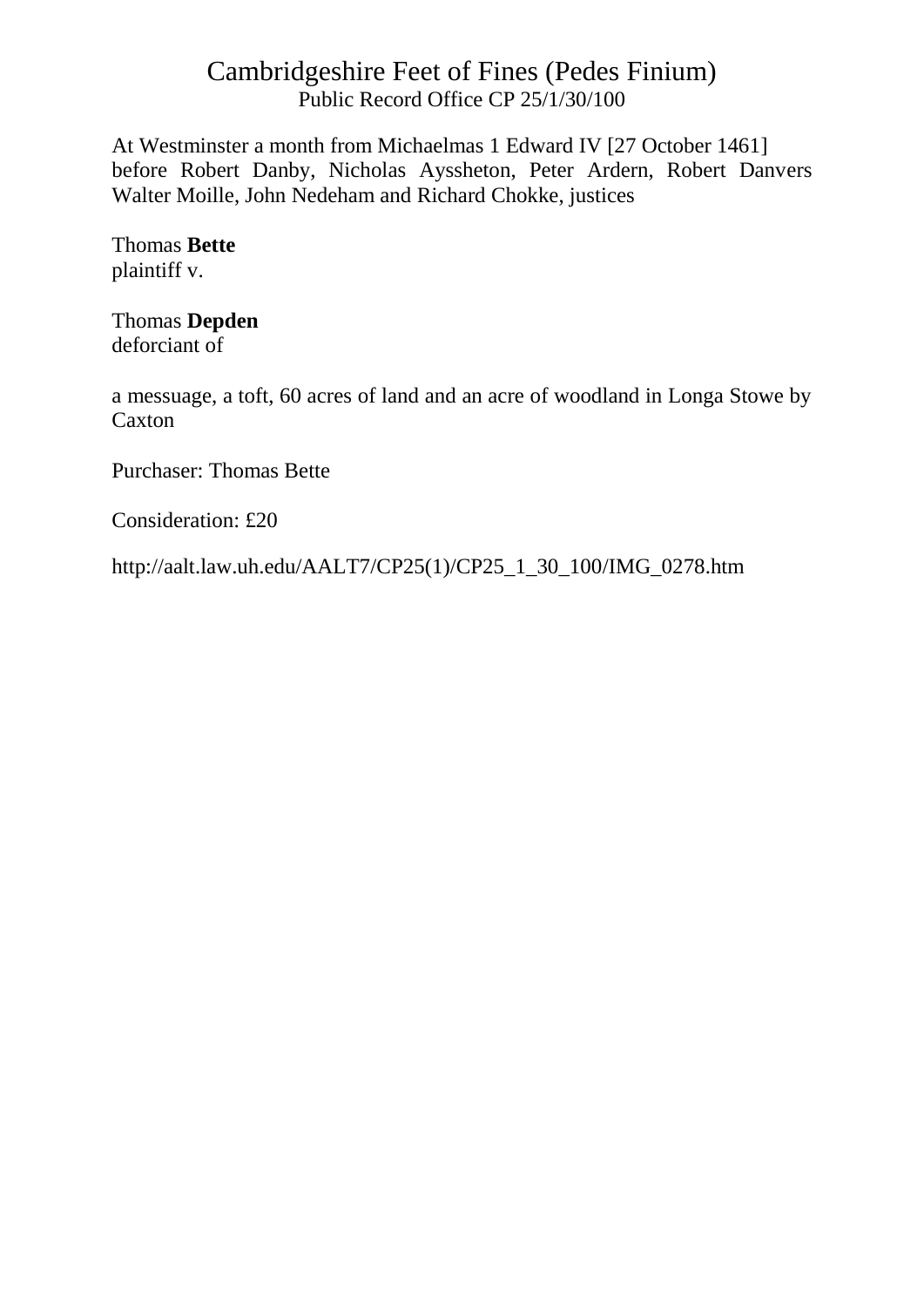At Westminster a month from Michaelmas 1 Edward IV [27 October 1461] before Robert Danby, Nicholas Ayssheton, Peter Ardern, Robert Danvers Walter Moille, John Nedeham and Richard Chokke, justices

Thomas **Bette** plaintiff v.

Thomas **Depden** deforciant of

a messuage, a toft, 60 acres of land and an acre of woodland in Longa Stowe by Caxton

Purchaser: Thomas Bette

Consideration: £20

http://aalt.law.uh.edu/AALT7/CP25(1)/CP25\_1\_30\_100/IMG\_0278.htm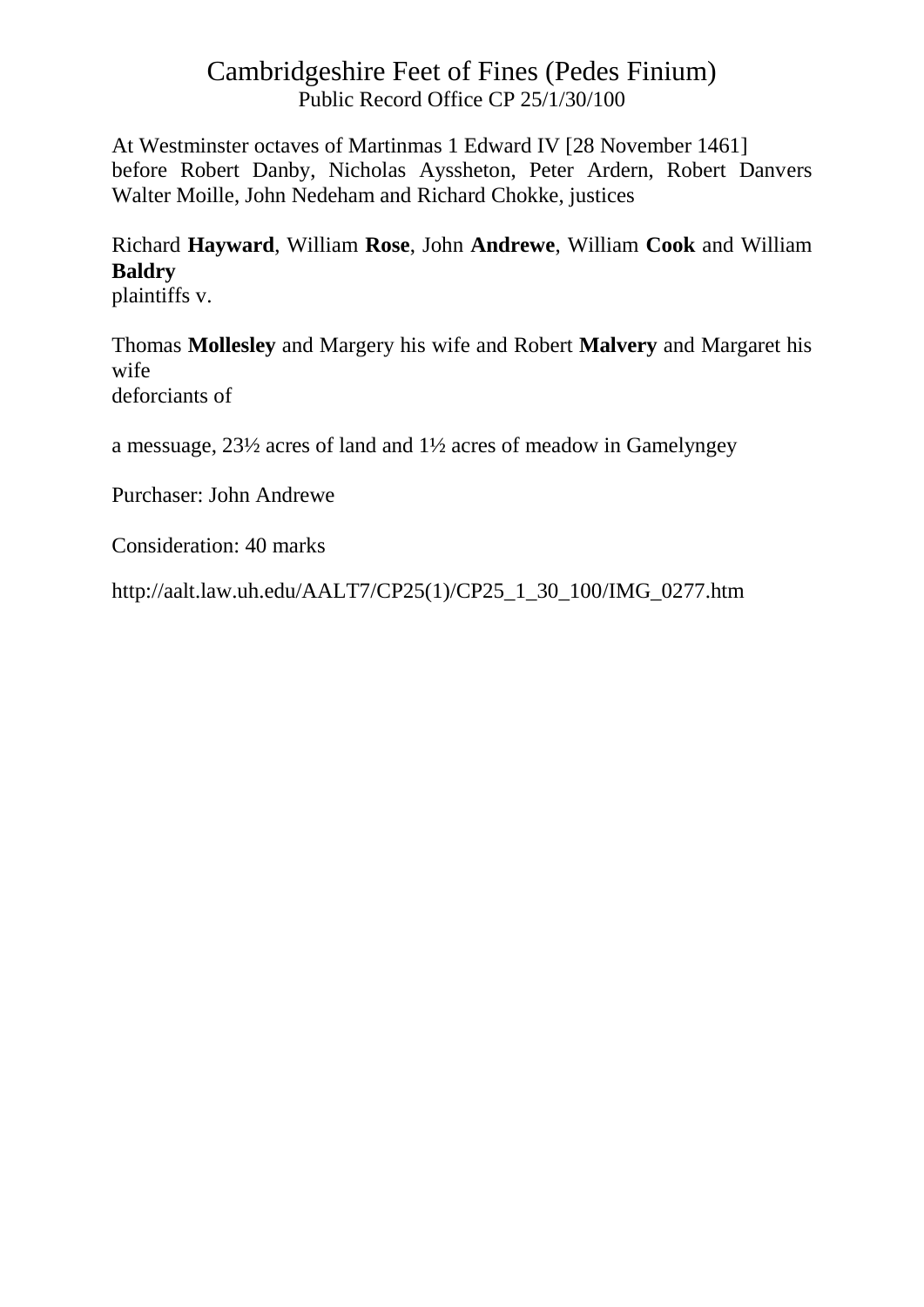At Westminster octaves of Martinmas 1 Edward IV [28 November 1461] before Robert Danby, Nicholas Ayssheton, Peter Ardern, Robert Danvers Walter Moille, John Nedeham and Richard Chokke, justices

# Richard **Hayward**, William **Rose**, John **Andrewe**, William **Cook** and William **Baldry**

plaintiffs v.

Thomas **Mollesley** and Margery his wife and Robert **Malvery** and Margaret his wife deforciants of

a messuage, 23½ acres of land and 1½ acres of meadow in Gamelyngey

Purchaser: John Andrewe

Consideration: 40 marks

http://aalt.law.uh.edu/AALT7/CP25(1)/CP25\_1\_30\_100/IMG\_0277.htm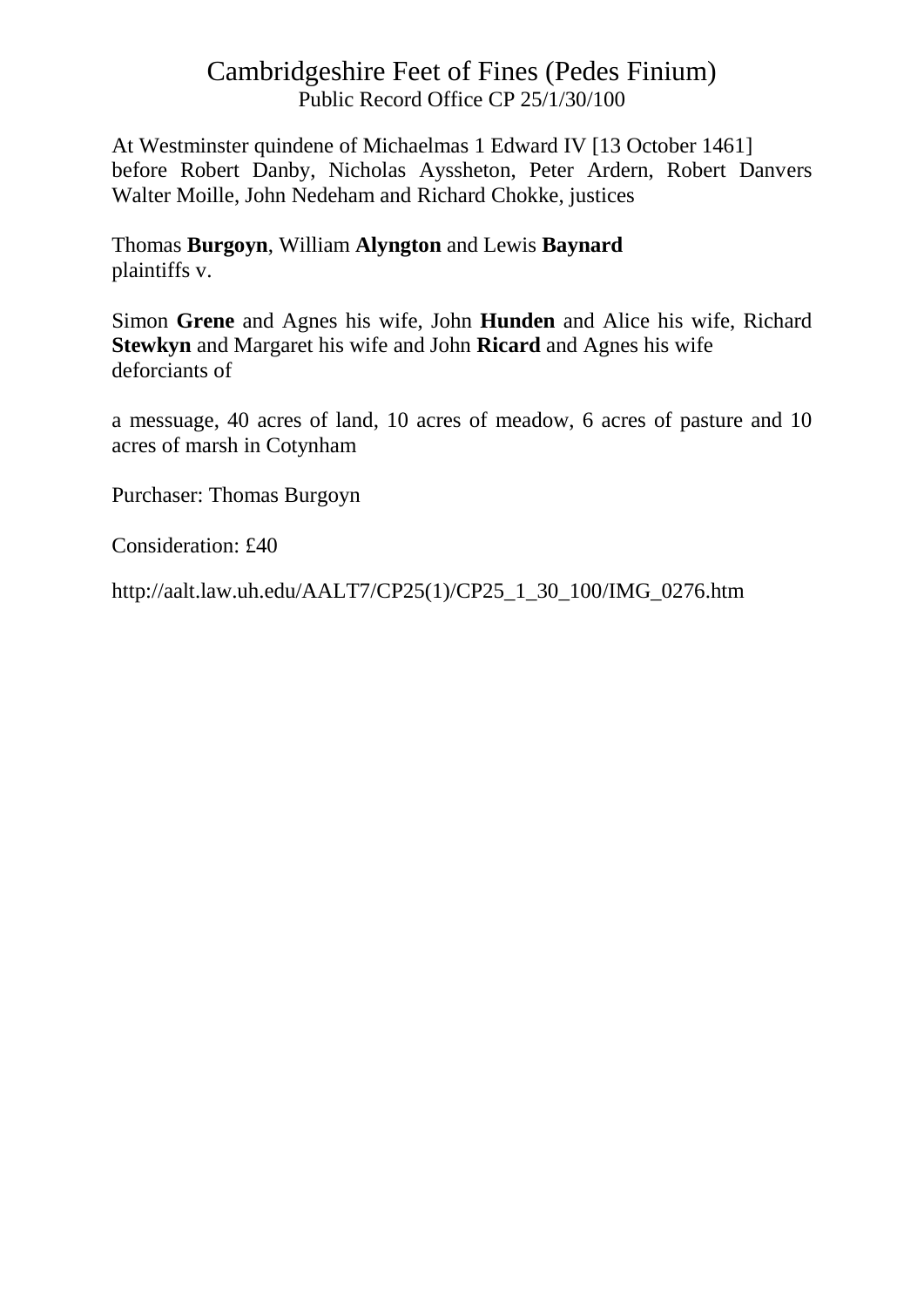At Westminster quindene of Michaelmas 1 Edward IV [13 October 1461] before Robert Danby, Nicholas Ayssheton, Peter Ardern, Robert Danvers Walter Moille, John Nedeham and Richard Chokke, justices

Thomas **Burgoyn**, William **Alyngton** and Lewis **Baynard** plaintiffs v.

Simon **Grene** and Agnes his wife, John **Hunden** and Alice his wife, Richard **Stewkyn** and Margaret his wife and John **Ricard** and Agnes his wife deforciants of

a messuage, 40 acres of land, 10 acres of meadow, 6 acres of pasture and 10 acres of marsh in Cotynham

Purchaser: Thomas Burgoyn

Consideration: £40

http://aalt.law.uh.edu/AALT7/CP25(1)/CP25\_1\_30\_100/IMG\_0276.htm